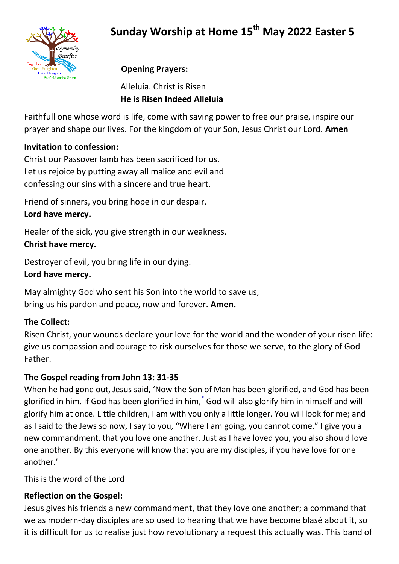# **Sunday Worship at Home 15th May 2022 Easter 5**



## **Opening Prayers:**

Alleluia. Christ is Risen **He is Risen Indeed Alleluia**

Faithfull one whose word is life, come with saving power to free our praise, inspire our prayer and shape our lives. For the kingdom of your Son, Jesus Christ our Lord. **Amen**

#### **Invitation to confession:**

Christ our Passover lamb has been sacrificed for us. Let us rejoice by putting away all malice and evil and confessing our sins with a sincere and true heart.

Friend of sinners, you bring hope in our despair. **Lord have mercy.**

Healer of the sick, you give strength in our weakness. **Christ have mercy.** 

Destroyer of evil, you bring life in our dying.

### **Lord have mercy.**

May almighty God who sent his Son into the world to save us, bring us his pardon and peace, now and forever. **Amen.**

#### **The Collect:**

Risen Christ, your wounds declare your love for the world and the wonder of your risen life: give us compassion and courage to risk ourselves for those we serve, to the glory of God Father.

#### **The Gospel reading from John 13: 31-35**

When he had gone out, Jesus said, 'Now the Son of Man has been glorified, and God has been glorified in him. If God has been glorified in him,<sup>[\\*](javascript:void(0);)</sup> God will also glorify him in himself and will glorify him at once. Little children, I am with you only a little longer. You will look for me; and as I said to the Jews so now, I say to you, "Where I am going, you cannot come." I give you a new commandment, that you love one another. Just as I have loved you, you also should love one another. By this everyone will know that you are my disciples, if you have love for one another.'

This is the word of the Lord

#### **Reflection on the Gospel:**

Jesus gives his friends a new commandment, that they love one another; a command that we as modern-day disciples are so used to hearing that we have become blasé about it, so it is difficult for us to realise just how revolutionary a request this actually was. This band of